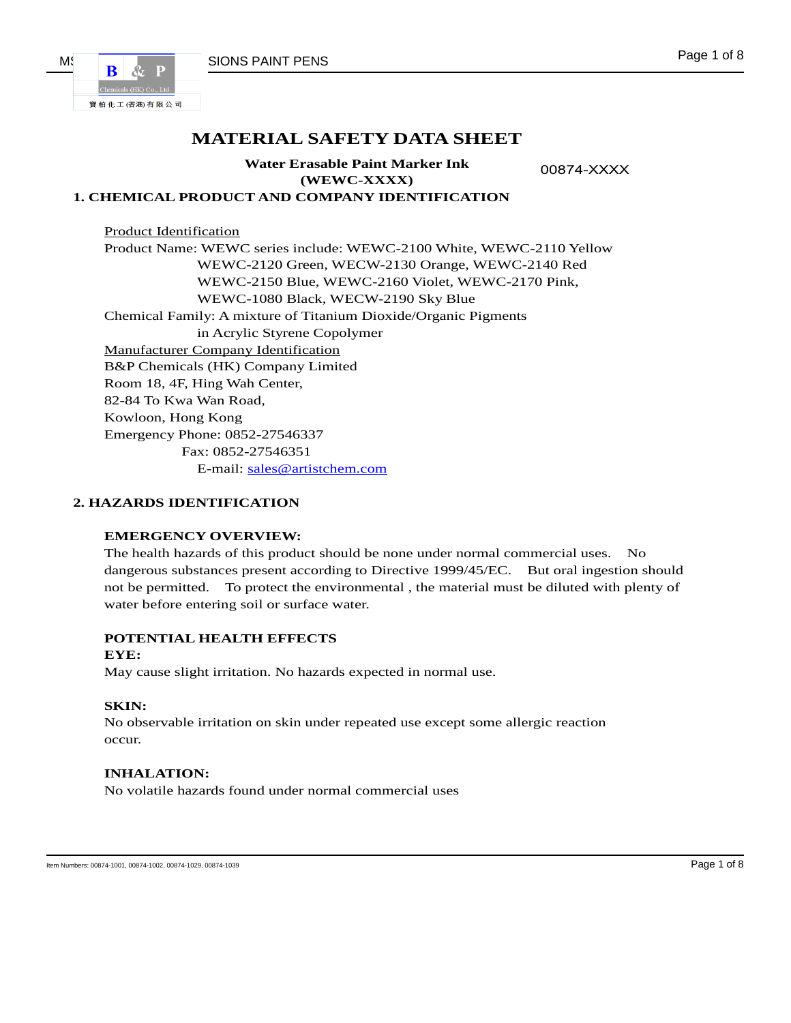

# **MATERIAL SAFETY DATA SHEET**

**Water Erasable Paint Marker Ink (WEWC-XXXX)** 

00874-XXXX

## **1. CHEMICAL PRODUCT AND COMPANY IDENTIFICATION**

 Product Identification Product Name: WEWC series include: WEWC-2100 White, WEWC-2110 Yellow WEWC-2120 Green, WECW-2130 Orange, WEWC-2140 Red WEWC-2150 Blue, WEWC-2160 Violet, WEWC-2170 Pink, WEWC-1080 Black, WECW-2190 Sky Blue Chemical Family: A mixture of Titanium Dioxide/Organic Pigments in Acrylic Styrene Copolymer Manufacturer Company Identification B&P Chemicals (HK) Company Limited Room 18, 4F, Hing Wah Center, 82-84 To Kwa Wan Road, Kowloon, Hong Kong Emergency Phone: 0852-27546337 Fax: 0852-27546351 E-mail: sales@artistchem.com

#### **2. HAZARDS IDENTIFICATION**

#### **EMERGENCY OVERVIEW:**

The health hazards of this product should be none under normal commercial uses. No dangerous substances present according to Directive 1999/45/EC. But oral ingestion should not be permitted. To protect the environmental , the material must be diluted with plenty of water before entering soil or surface water.

#### **POTENTIAL HEALTH EFFECTS**

#### **EYE:**

May cause slight irritation. No hazards expected in normal use.

#### **SKIN:**

No observable irritation on skin under repeated use except some allergic reaction occur.

#### **INHALATION:**

No volatile hazards found under normal commercial uses

Item Numbers: 00874-1001, 00874-1002, 00874-1029, 00874-1029 Page 1 of 8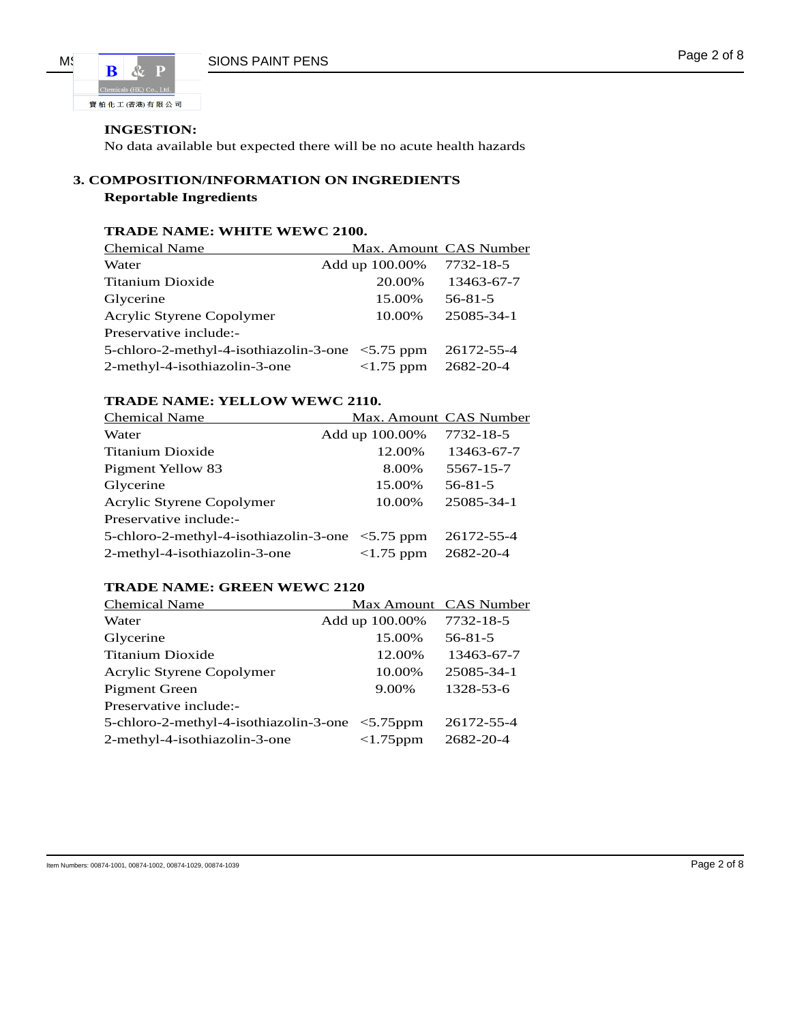

## **INGESTION:**

No data available but expected there will be no acute health hazards

## **3. COMPOSITION/INFORMATION ON INGREDIENTS Reportable Ingredients**

## **TRADE NAME: WHITE WEWC 2100.**

| <b>Chemical Name</b>                                   | Max. Amount CAS Number |               |
|--------------------------------------------------------|------------------------|---------------|
| Water                                                  | Add up 100.00%         | 7732-18-5     |
| Titanium Dioxide                                       | 20.00%                 | 13463-67-7    |
| Glycerine                                              | 15.00%                 | $56 - 81 - 5$ |
| Acrylic Styrene Copolymer                              | 10.00%                 | 25085-34-1    |
| Preservative include:-                                 |                        |               |
| 5-chloro-2-methyl-4-isothiazolin-3-one $\leq$ 5.75 ppm |                        | 26172-55-4    |
| 2-methyl-4-isothiazolin-3-one                          | $<1.75$ ppm            | 2682-20-4     |

## **TRADE NAME: YELLOW WEWC 2110.**

| <b>Chemical Name</b>                                   |                | Max. Amount CAS Number |
|--------------------------------------------------------|----------------|------------------------|
| Water                                                  | Add up 100.00% | 7732-18-5              |
| Titanium Dioxide                                       | 12.00%         | 13463-67-7             |
| Pigment Yellow 83                                      | 8.00%          | 5567-15-7              |
| Glycerine                                              | 15.00%         | $56 - 81 - 5$          |
| Acrylic Styrene Copolymer                              | 10.00%         | 25085-34-1             |
| Preservative include:-                                 |                |                        |
| 5-chloro-2-methyl-4-isothiazolin-3-one $\leq$ 5.75 ppm |                | 26172-55-4             |
| 2-methyl-4-isothiazolin-3-one                          | $<1.75$ ppm    | 2682-20-4              |

## **TRADE NAME: GREEN WEWC 2120**

| <b>Chemical Name</b>                            |                | Max Amount CAS Number |
|-------------------------------------------------|----------------|-----------------------|
| Water                                           | Add up 100.00% | 7732-18-5             |
| Glycerine                                       | 15.00%         | $56 - 81 - 5$         |
| Titanium Dioxide                                | 12.00%         | 13463-67-7            |
| Acrylic Styrene Copolymer                       | 10.00%         | 25085-34-1            |
| <b>Pigment Green</b>                            | 9.00%          | 1328-53-6             |
| Preservative include:-                          |                |                       |
| 5-chloro-2-methyl-4-isothiazolin-3-one <5.75ppm |                | 26172-55-4            |
| 2-methyl-4-isothiazolin-3-one                   | $<1.75$ ppm    | 2682-20-4             |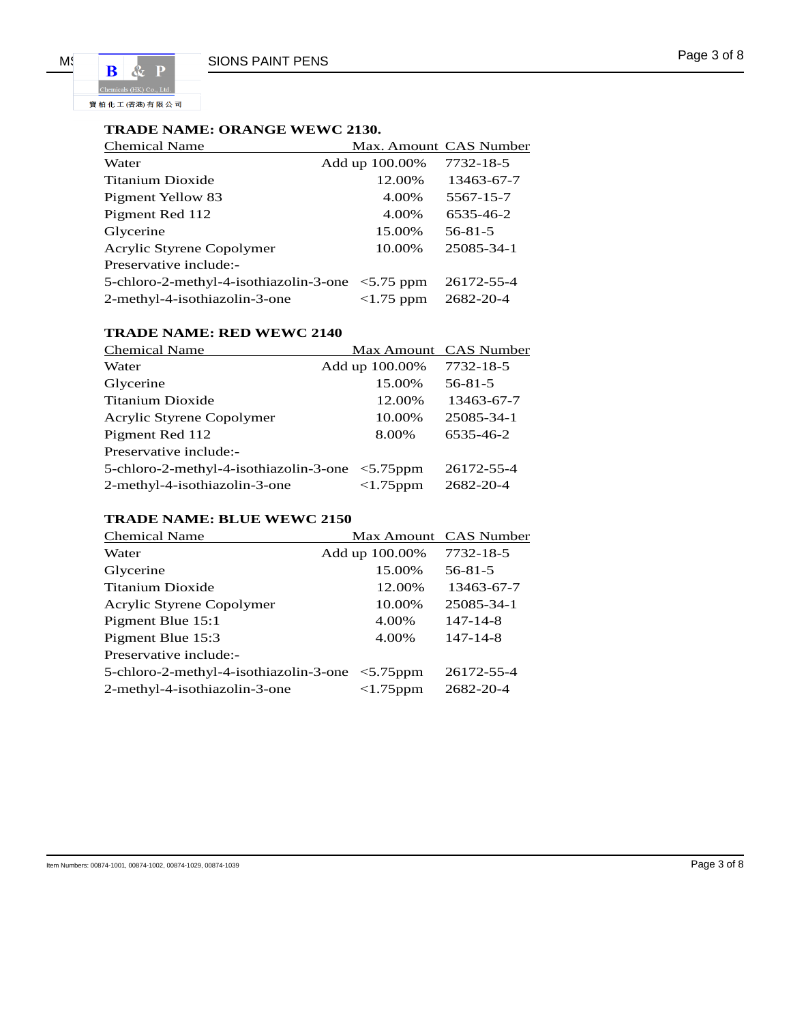寶柏化工(香港)有限公司

## **TRADE NAME: ORANGE WEWC 2130.**

| <b>Chemical Name</b>                                   | Max. Amount CAS Number |               |
|--------------------------------------------------------|------------------------|---------------|
| Water                                                  | Add up 100.00%         | 7732-18-5     |
| Titanium Dioxide                                       | 12.00%                 | 13463-67-7    |
| Pigment Yellow 83                                      | 4.00%                  | 5567-15-7     |
| Pigment Red 112                                        | 4.00%                  | 6535-46-2     |
| Glycerine                                              | 15.00%                 | $56 - 81 - 5$ |
| Acrylic Styrene Copolymer                              | 10.00%                 | 25085-34-1    |
| Preservative include:-                                 |                        |               |
| 5-chloro-2-methyl-4-isothiazolin-3-one $\leq$ 5.75 ppm |                        | 26172-55-4    |
| 2-methyl-4-isothiazolin-3-one                          | $<1.75$ ppm            | 2682-20-4     |

## **TRADE NAME: RED WEWC 2140**

| <b>Chemical Name</b>                            |                 | Max Amount CAS Number |
|-------------------------------------------------|-----------------|-----------------------|
| Water                                           | Add up 100.00%  | 7732-18-5             |
| Glycerine                                       | 15.00%          | $56 - 81 - 5$         |
| <b>Titanium Dioxide</b>                         | 12.00%          | 13463-67-7            |
| Acrylic Styrene Copolymer                       | 10.00%          | 25085-34-1            |
| Pigment Red 112                                 | 8.00%           | 6535-46-2             |
| Preservative include:-                          |                 |                       |
| 5-chloro-2-methyl-4-isothiazolin-3-one <5.75ppm |                 | 26172-55-4            |
| 2-methyl-4-isothiazolin-3-one                   | $<$ 1.75 $pm$ m | 2682-20-4             |

## **TRADE NAME: BLUE WEWC 2150**

| <b>Chemical Name</b>                                 |                 | Max Amount CAS Number |
|------------------------------------------------------|-----------------|-----------------------|
| Water                                                | Add up 100.00%  | 7732-18-5             |
| Glycerine                                            | 15.00%          | $56 - 81 - 5$         |
| Titanium Dioxide                                     | 12.00%          | 13463-67-7            |
| Acrylic Styrene Copolymer                            | 10.00%          | 25085-34-1            |
| Pigment Blue 15:1                                    | 4.00%           | $147 - 14 - 8$        |
| Pigment Blue 15:3                                    | 4.00%           | $147 - 14 - 8$        |
| Preservative include:-                               |                 |                       |
| 5-chloro-2-methyl-4-isothiazolin-3-one $\lt$ 5.75ppm |                 | 26172-55-4            |
| 2-methyl-4-isothiazolin-3-one                        | $<$ 1.75 $pm$ m | 2682-20-4             |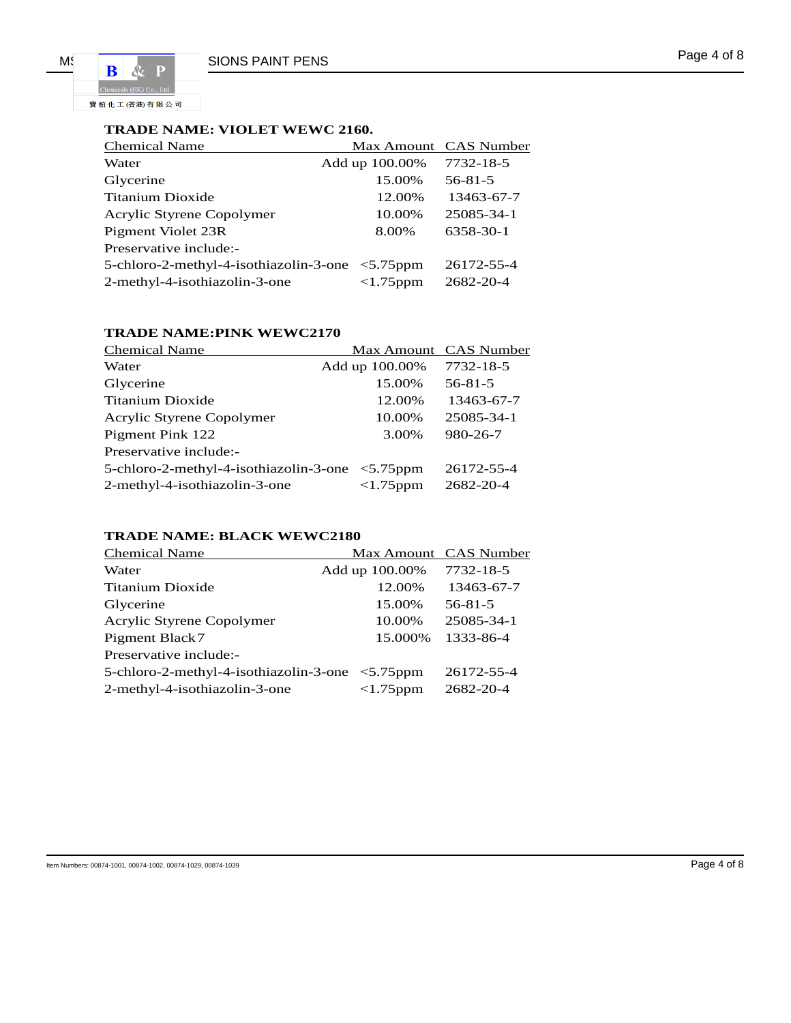寶柏化工(香港)有限公司

## **TRADE NAME: VIOLET WEWC 2160.**

| <b>Chemical Name</b>                            |                 | Max Amount CAS Number |
|-------------------------------------------------|-----------------|-----------------------|
| Water                                           | Add up 100.00%  | 7732-18-5             |
| Glycerine                                       | 15.00%          | $56 - 81 - 5$         |
| Titanium Dioxide                                | 12.00%          | 13463-67-7            |
| Acrylic Styrene Copolymer                       | 10.00%          | 25085-34-1            |
| Pigment Violet 23R                              | 8.00%           | 6358-30-1             |
| Preservative include:-                          |                 |                       |
| 5-chloro-2-methyl-4-isothiazolin-3-one <5.75ppm |                 | 26172-55-4            |
| 2-methyl-4-isothiazolin-3-one                   | $<$ 1.75 $pm$ m | 2682-20-4             |

## **TRADE NAME:PINK WEWC2170**

| <b>Chemical Name</b>                                   |                | Max Amount CAS Number |
|--------------------------------------------------------|----------------|-----------------------|
| Water                                                  | Add up 100.00% | 7732-18-5             |
| Glycerine                                              | 15.00%         | $56 - 81 - 5$         |
| <b>Titanium Dioxide</b>                                | 12.00%         | 13463-67-7            |
| Acrylic Styrene Copolymer                              | 10.00%         | 25085-34-1            |
| Pigment Pink 122                                       | 3.00%          | 980-26-7              |
| Preservative include:-                                 |                |                       |
| 5-chloro-2-methyl-4-isothiazolin-3-one $\leq 5.75$ ppm |                | 26172-55-4            |
| 2-methyl-4-isothiazolin-3-one                          | $<1.75$ ppm    | 2682-20-4             |

## **TRADE NAME: BLACK WEWC2180**

| <b>Chemical Name</b>                            |                 | Max Amount CAS Number |
|-------------------------------------------------|-----------------|-----------------------|
| Water                                           | Add up 100.00%  | 7732-18-5             |
| Titanium Dioxide                                | 12.00%          | 13463-67-7            |
| Glycerine                                       | 15.00%          | $56 - 81 - 5$         |
| Acrylic Styrene Copolymer                       | 10.00%          | 25085-34-1            |
| Pigment Black7                                  | 15.000%         | 1333-86-4             |
| Preservative include:-                          |                 |                       |
| 5-chloro-2-methyl-4-isothiazolin-3-one <5.75ppm |                 | 26172-55-4            |
| 2-methyl-4-isothiazolin-3-one                   | $<$ 1.75 $pm$ m | 2682-20-4             |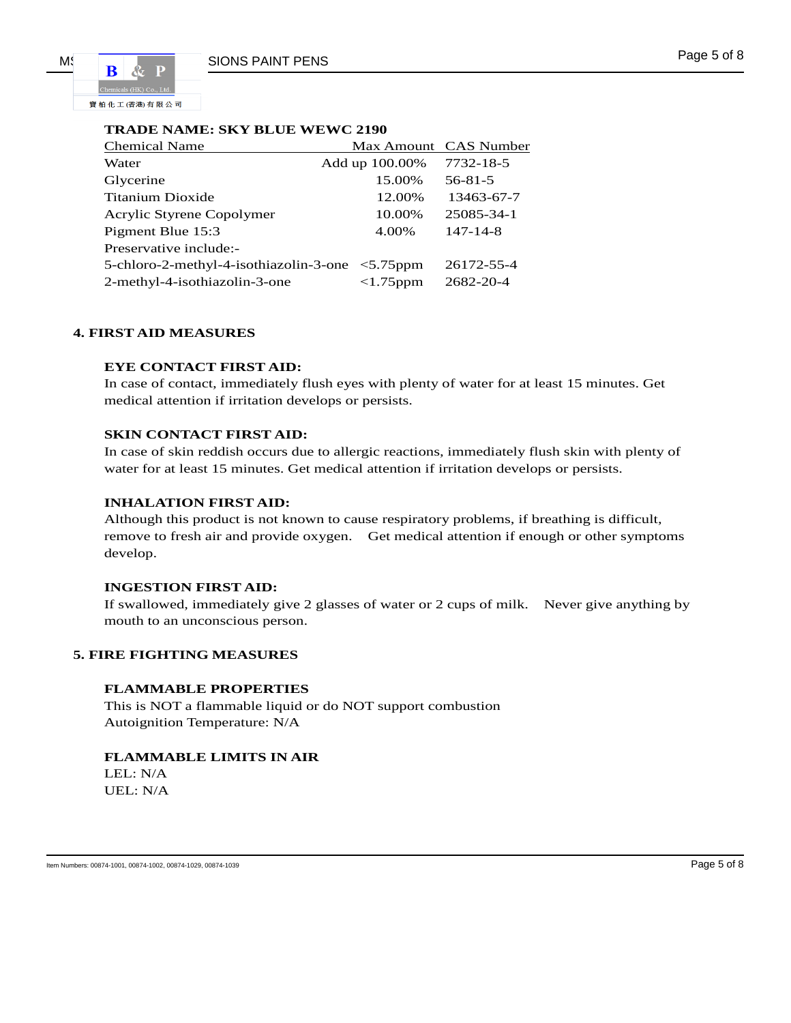MS RAG PAINT PENS PAINT PENS Page 5 of 8 寶柏化工(香港)有限公司

### **TRADE NAME: SKY BLUE WEWC 2190**

| <b>Chemical Name</b>                            |                | Max Amount CAS Number |
|-------------------------------------------------|----------------|-----------------------|
| Water                                           | Add up 100.00% | 7732-18-5             |
| Glycerine                                       | 15.00%         | $56 - 81 - 5$         |
| Titanium Dioxide                                | 12.00%         | 13463-67-7            |
| Acrylic Styrene Copolymer                       | 10.00%         | 25085-34-1            |
| Pigment Blue 15:3                               | 4.00%          | $147 - 14 - 8$        |
| Preservative include:-                          |                |                       |
| 5-chloro-2-methyl-4-isothiazolin-3-one <5.75ppm |                | 26172-55-4            |
| 2-methyl-4-isothiazolin-3-one                   | $<1.75$ ppm    | 2682-20-4             |

#### **4. FIRST AID MEASURES**

#### **EYE CONTACT FIRST AID:**

In case of contact, immediately flush eyes with plenty of water for at least 15 minutes. Get medical attention if irritation develops or persists.

#### **SKIN CONTACT FIRST AID:**

In case of skin reddish occurs due to allergic reactions, immediately flush skin with plenty of water for at least 15 minutes. Get medical attention if irritation develops or persists.

#### **INHALATION FIRST AID:**

Although this product is not known to cause respiratory problems, if breathing is difficult, remove to fresh air and provide oxygen. Get medical attention if enough or other symptoms develop.

#### **INGESTION FIRST AID:**

If swallowed, immediately give 2 glasses of water or 2 cups of milk. Never give anything by mouth to an unconscious person.

### **5. FIRE FIGHTING MEASURES**

#### **FLAMMABLE PROPERTIES**

This is NOT a flammable liquid or do NOT support combustion Autoignition Temperature: N/A

#### **FLAMMABLE LIMITS IN AIR**

LEL: N/A UEL: N/A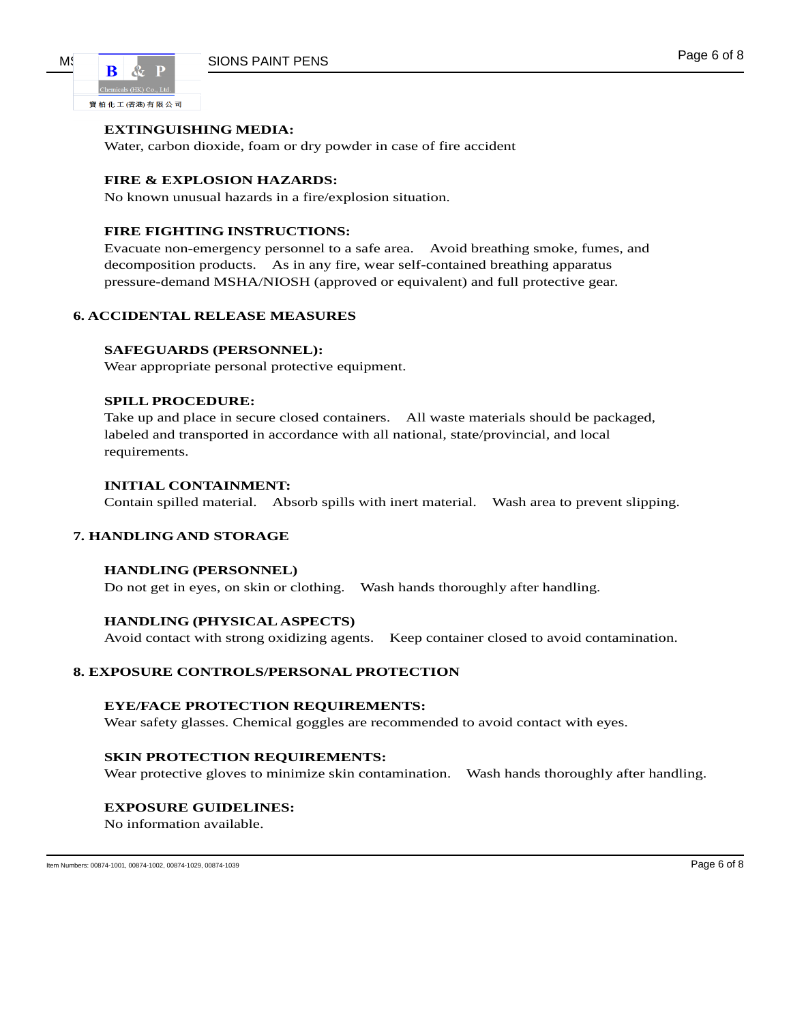寶柏化工(香港)有限公司

## **EXTINGUISHING MEDIA:**

Water, carbon dioxide, foam or dry powder in case of fire accident

### **FIRE & EXPLOSION HAZARDS:**

No known unusual hazards in a fire/explosion situation.

### **FIRE FIGHTING INSTRUCTIONS:**

Evacuate non-emergency personnel to a safe area. Avoid breathing smoke, fumes, and decomposition products. As in any fire, wear self-contained breathing apparatus pressure-demand MSHA/NIOSH (approved or equivalent) and full protective gear.

## **6. ACCIDENTAL RELEASE MEASURES**

#### **SAFEGUARDS (PERSONNEL):**

Wear appropriate personal protective equipment.

#### **SPILL PROCEDURE:**

Take up and place in secure closed containers. All waste materials should be packaged, labeled and transported in accordance with all national, state/provincial, and local requirements.

#### **INITIAL CONTAINMENT:**

Contain spilled material. Absorb spills with inert material. Wash area to prevent slipping.

## **7. HANDLING AND STORAGE**

#### **HANDLING (PERSONNEL)**

Do not get in eyes, on skin or clothing. Wash hands thoroughly after handling.

#### **HANDLING (PHYSICAL ASPECTS)**

Avoid contact with strong oxidizing agents. Keep container closed to avoid contamination.

#### **8. EXPOSURE CONTROLS/PERSONAL PROTECTION**

#### **EYE/FACE PROTECTION REQUIREMENTS:**

Wear safety glasses. Chemical goggles are recommended to avoid contact with eyes.

#### **SKIN PROTECTION REQUIREMENTS:**

Wear protective gloves to minimize skin contamination. Wash hands thoroughly after handling.

#### **EXPOSURE GUIDELINES:**

No information available.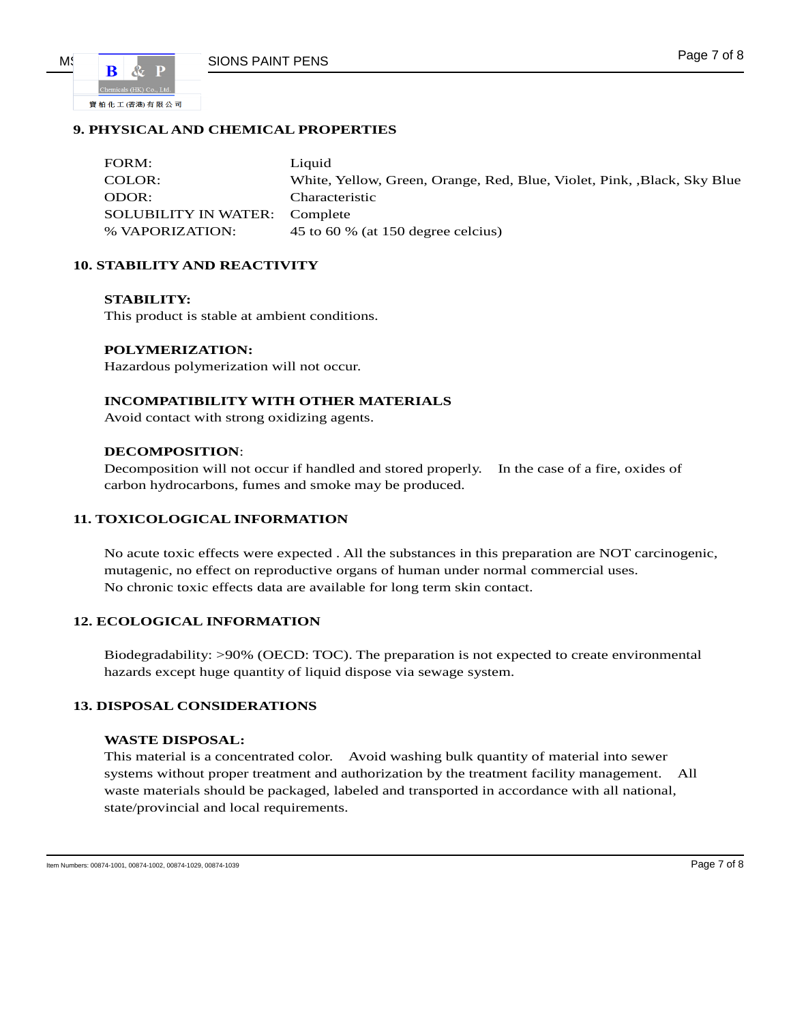

## **9. PHYSICAL AND CHEMICAL PROPERTIES**

| FORM:                                | Liquid                                                                 |
|--------------------------------------|------------------------------------------------------------------------|
| COLOR:                               | White, Yellow, Green, Orange, Red, Blue, Violet, Pink, Black, Sky Blue |
| ODOR:                                | Characteristic                                                         |
| <b>SOLUBILITY IN WATER: Complete</b> |                                                                        |
| % VAPORIZATION:                      | 45 to 60 % (at 150 degree celcius)                                     |

## **10. STABILITY AND REACTIVITY**

#### **STABILITY:**

This product is stable at ambient conditions.

#### **POLYMERIZATION:**

Hazardous polymerization will not occur.

#### **INCOMPATIBILITY WITH OTHER MATERIALS**

Avoid contact with strong oxidizing agents.

#### **DECOMPOSITION**:

Decomposition will not occur if handled and stored properly. In the case of a fire, oxides of carbon hydrocarbons, fumes and smoke may be produced.

## **11. TOXICOLOGICAL INFORMATION**

No acute toxic effects were expected . All the substances in this preparation are NOT carcinogenic, mutagenic, no effect on reproductive organs of human under normal commercial uses. No chronic toxic effects data are available for long term skin contact.

### **12. ECOLOGICAL INFORMATION**

Biodegradability: >90% (OECD: TOC). The preparation is not expected to create environmental hazards except huge quantity of liquid dispose via sewage system.

#### **13. DISPOSAL CONSIDERATIONS**

### **WASTE DISPOSAL:**

This material is a concentrated color. Avoid washing bulk quantity of material into sewer systems without proper treatment and authorization by the treatment facility management. All waste materials should be packaged, labeled and transported in accordance with all national, state/provincial and local requirements.